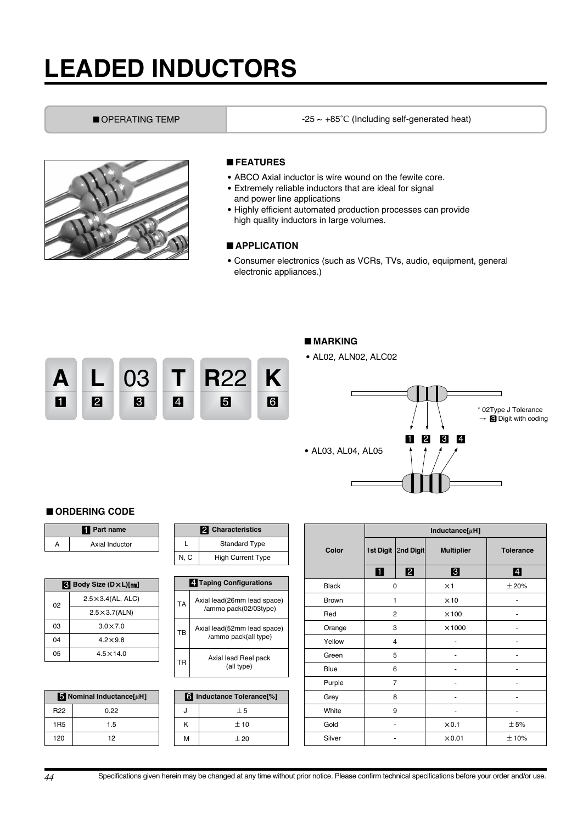# **LEADED INDUCTORS**

■ OPERATING TEMP  $-25 \sim +85^{\circ}$ C (Including self-generated heat)



#### ■*FEATURES*

- ABCO Axial inductor is wire wound on the fewite core.
- Extremely reliable inductors that are ideal for signal and power line applications
- Highly efficient automated production processes can provide high quality inductors in large volumes.

### ■*APPLICATION*

• Consumer electronics (such as VCRs, TVs, audio, equipment, general electronic appliances.)



### ■*MARKING*

• AL02, ALN02, ALC02



#### ■*ORDERING CODE*

| <b>Fil Part name</b> |
|----------------------|
| Axial Inductor       |

| Body Size (DXL)[mm]<br>ıз |                            |  |  |  |  |  |  |  |
|---------------------------|----------------------------|--|--|--|--|--|--|--|
| 02                        | $2.5 \times 3.4$ (AL, ALC) |  |  |  |  |  |  |  |
|                           | $2.5 \times 3.7$ (ALN)     |  |  |  |  |  |  |  |
| 03                        | $3.0 \times 7.0$           |  |  |  |  |  |  |  |
| 04                        | $42 \times 98$             |  |  |  |  |  |  |  |
| 05                        | 45 × 140                   |  |  |  |  |  |  |  |

| $\overline{\bullet}$ Nominal Inductance[ $\mu$ H] |      |  |  |  |  |  |  |  |
|---------------------------------------------------|------|--|--|--|--|--|--|--|
| R <sub>22</sub>                                   | 0.22 |  |  |  |  |  |  |  |
| 1R <sub>5</sub>                                   | 15   |  |  |  |  |  |  |  |
| 120                                               | 12   |  |  |  |  |  |  |  |

|           | <b>Characteristics</b> |                                                      |  |  |  |  |  |  |  |  |
|-----------|------------------------|------------------------------------------------------|--|--|--|--|--|--|--|--|
| L         |                        | <b>Standard Type</b>                                 |  |  |  |  |  |  |  |  |
| N, C      |                        | <b>High Current Type</b>                             |  |  |  |  |  |  |  |  |
|           |                        |                                                      |  |  |  |  |  |  |  |  |
|           |                        | 4 Taping Configurations                              |  |  |  |  |  |  |  |  |
| <b>TA</b> |                        | Axial lead(26mm lead space)<br>/ammo pack(02/03type) |  |  |  |  |  |  |  |  |
| ТB        |                        | Axial lead(52mm lead space)<br>/ammo pack(all type)  |  |  |  |  |  |  |  |  |
| ТR        |                        | Axial lead Reel pack<br>(all type)                   |  |  |  |  |  |  |  |  |

| Nominal Inductance[µH] |   | 6 Inductance Tolerance <sup>[%]</sup> |
|------------------------|---|---------------------------------------|
| 0.22                   | u | $+5$                                  |
| 1.5                    |   | ±10                                   |
| 12                     | М | $+20$                                 |

|              |                |                     | Inductance[ $\mu$ H] |                  |  |
|--------------|----------------|---------------------|----------------------|------------------|--|
| Color        |                | 1st Digit 2nd Digit | <b>Multiplier</b>    | <b>Tolerance</b> |  |
|              | $\blacksquare$ | 2                   | $\mathbf{B}$         | $\blacksquare$   |  |
| <b>Black</b> | 0              |                     | $\times$ 1           | ±20%             |  |
| <b>Brown</b> | 1              |                     | $\times$ 10          |                  |  |
| Red          |                | $\overline{2}$      | $\times$ 100         |                  |  |
| Orange       |                | 3                   | $\times$ 1000        |                  |  |
| Yellow       |                | 4                   |                      |                  |  |
| Green        |                | 5                   |                      |                  |  |
| Blue         |                | 6                   |                      |                  |  |
| Purple       |                | $\overline{7}$      |                      |                  |  |
| Grey         |                | 8                   |                      |                  |  |
| White        |                | 9                   |                      |                  |  |
| Gold         |                |                     | $\times 0.1$         | ±5%              |  |
| Silver       |                |                     | $\times 0.01$        | ±10%             |  |

*44* Specifications given herein may be changed at any time without prior notice. Please confirm technical specifications before your order and/or use.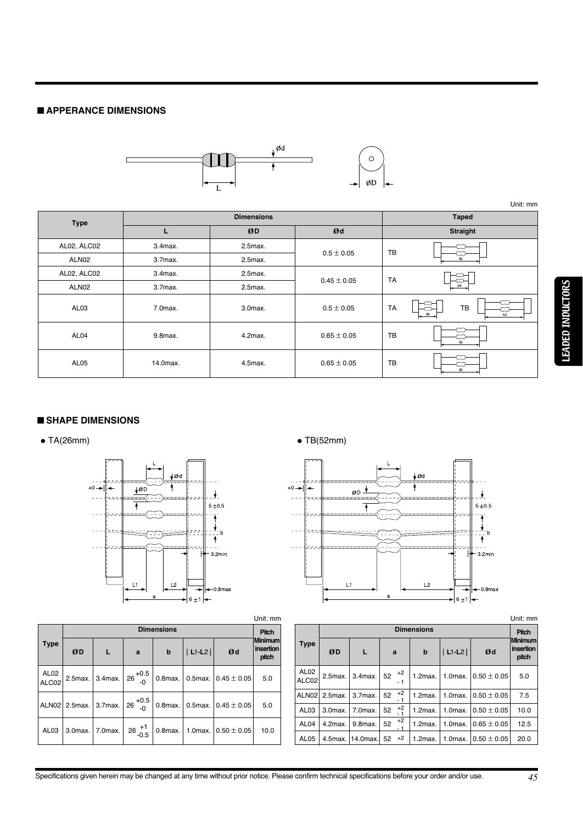### ■*APPERANCE DIMENSIONS*



**Type Dimensions Taped <sup>L</sup> ø<sup>D</sup> ød Straight** 52 52 52 52 26 26 AL02, ALC02 3.4max. 2.5max.  $0.5 \pm 0.05$ ALN02 3.7max. 2.5max. AL02, ALC02 3.4max. 2.5max.  $0.45 \pm 0.05$ ALN02 3.7max. 2.5max. AL03 7.0max. 1 3.0max. 0.5  $\pm$  0.05 AL04 9.8max. 4.2max. 4.2max. 0.65 ± 0.05 AL05 14.0max. 4.5max. 0.65 ± 0.05 TB TA TA TB TB TB Unit: mm

### ■*SHAPE DIMENSIONS*

 $\bullet$  TA(26mm)  $\bullet$  TB(52mm)



| Unit: mm                  |                   |                  |                     |                  |            |                          |                                      |  |  |  |  |
|---------------------------|-------------------|------------------|---------------------|------------------|------------|--------------------------|--------------------------------------|--|--|--|--|
|                           | <b>Dimensions</b> |                  |                     |                  |            |                          |                                      |  |  |  |  |
| <b>Type</b>               | ØD                | L                | a                   | $\mathbf b$      | $ L1-L2 $  | Ød                       | <b>Minimum</b><br>insertion<br>pitch |  |  |  |  |
| AL <sub>02</sub><br>ALC02 | $2.5$ max.        | 3.4max. 26 + 0.5 |                     | $0.8$ max.       | $0.5$ max. | $0.45 \pm 0.05$          | 5.0                                  |  |  |  |  |
| ALN02                     | $2.5$ max.        | 3.7max.          | $126 + 0.5$         | $0.8$ max.       |            | 0.5 max. $0.45 \pm 0.05$ | 5.0                                  |  |  |  |  |
| AL <sub>03</sub>          | $3.0$ max.        | 7.0max.          | $26\frac{+1}{-0.5}$ | $\vert$ 0.8 max. | $1.0$ max. | $0.50 \pm 0.05$          | 10.0                                 |  |  |  |  |



| Unit: mm                             |                  |                                       |                   |              |      |             |            |                 |                 | Unit: mm                             |  |  |
|--------------------------------------|------------------|---------------------------------------|-------------------|--------------|------|-------------|------------|-----------------|-----------------|--------------------------------------|--|--|
| <b>Pitch</b>                         |                  |                                       | <b>Dimensions</b> |              |      |             |            |                 |                 |                                      |  |  |
| <b>Minimum</b><br>insertion<br>pitch |                  | <b>Type</b>                           | ØD                | L            |      | a           | b          | $ L1-L2 $       | Ød              | <b>Minimum</b><br>insertion<br>pitch |  |  |
| 5.0                                  |                  | AL <sub>02</sub><br>ALC <sub>02</sub> | 2.5max.           | $3.4$ max.   | 52   | $+2$<br>- 1 | $1.2$ max. | $1.0$ max.      | $0.50 \pm 0.05$ | 5.0                                  |  |  |
|                                      |                  | ALN <sub>02</sub>                     | $2.5$ max.        | $3.7$ $max.$ | 52   | $+2$<br>- 1 | $1.2$ max. | $1.0$ max.      | $0.50 \pm 0.05$ | 7.5                                  |  |  |
| 5.0                                  |                  | AL <sub>03</sub>                      | 3.0max.           | $7.0$ max.   | 52   | $+2$        | $1.2$ max. | $1.0$ max.      | $0.50 \pm 0.05$ | 10.0                                 |  |  |
| 10.0                                 |                  | AL <sub>04</sub>                      | 4.2max.           | 9.8max.      | 52   | $+2$<br>- 1 | $1.2$ max. | $1.0$ max.      | $0.65 \pm 0.05$ | 12.5                                 |  |  |
|                                      | AL <sub>05</sub> | 4.5max.                               | 14.0max.          | 52           | $+2$ | $1.2$ max.  | $1.0$ max. | $0.50 \pm 0.05$ | 20.0            |                                      |  |  |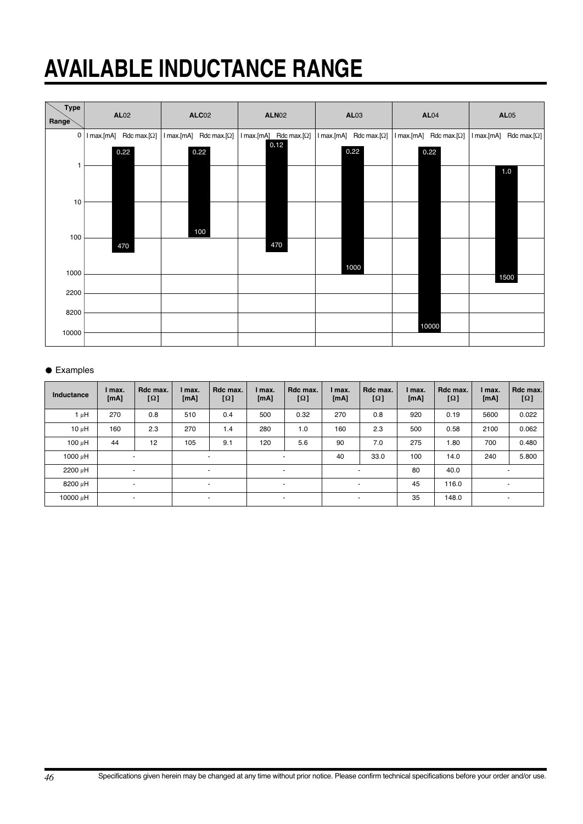# **AVAILABLE INDUCTANCE RANGE**

| <b>Type</b><br>Range | <b>AL02</b>                      |  | <b>ALC02</b> | <b>ALN02</b> |                                                                                     | <b>AL03</b> |      | AL04                                                                                                                           | <b>AL05</b> |                                   |
|----------------------|----------------------------------|--|--------------|--------------|-------------------------------------------------------------------------------------|-------------|------|--------------------------------------------------------------------------------------------------------------------------------|-------------|-----------------------------------|
| $\overline{0}$       | $Imax.[mA]$ Rdc max.[ $\Omega$ ] |  |              |              | $\vert$ I max. [mA] Rdc max. [ $\Omega$ ] $\vert$ I max. [mA] Rdc max. [ $\Omega$ ] |             |      | $\lceil \max_{\alpha} [mA] \rceil$ Rdc max. $\lceil \Omega \rceil$   I max. $\lceil mA \rceil$ Rdc max. $\lceil \Omega \rceil$ |             | $l$ max.[mA] Rdc max.[ $\Omega$ ] |
|                      | 0.22                             |  | 0.22         |              | 0.12                                                                                |             | 0.22 | 0.22                                                                                                                           |             |                                   |
|                      |                                  |  |              |              |                                                                                     |             |      |                                                                                                                                |             | 1.0                               |
| 10                   |                                  |  |              |              |                                                                                     |             |      |                                                                                                                                |             |                                   |
| 100                  |                                  |  | 100          |              |                                                                                     |             |      |                                                                                                                                |             |                                   |
| 1000                 | 470                              |  |              |              | 470                                                                                 |             | 1000 |                                                                                                                                |             |                                   |
|                      |                                  |  |              |              |                                                                                     |             |      |                                                                                                                                |             | 1500                              |
| 2200                 |                                  |  |              |              |                                                                                     |             |      |                                                                                                                                |             |                                   |
| 8200                 |                                  |  |              |              |                                                                                     |             |      |                                                                                                                                |             |                                   |
| 10000                |                                  |  |              |              |                                                                                     |             |      | 10000                                                                                                                          |             |                                   |
|                      |                                  |  |              |              |                                                                                     |             |      |                                                                                                                                |             |                                   |

#### ● Examples

| Inductance   | I max.<br>[mA] | Rdc max.<br>$[\Omega]$   | I max.<br>[mA] | Rdc max.<br>$[\Omega]$   | I max.<br>[mA]           | Rdc max.<br>$[\Omega]$   | I max.<br>[mA] | Rdc max.<br>$[\Omega]$   | I max.<br>[mA] | Rdc max.<br>$[\Omega]$ | I max.<br>[mA] | Rdc max.<br>$[\Omega]$   |
|--------------|----------------|--------------------------|----------------|--------------------------|--------------------------|--------------------------|----------------|--------------------------|----------------|------------------------|----------------|--------------------------|
| 1 $\mu$ H    | 270            | 0.8                      | 510            | 0.4                      | 500                      | 0.32                     | 270            | 0.8                      | 920            | 0.19                   | 5600           | 0.022                    |
| $10 \mu H$   | 160            | 2.3                      | 270            | 1.4                      | 280                      | 1.0                      | 160            | 2.3                      | 500            | 0.58                   | 2100           | 0.062                    |
| 100 $\mu$ H  | 44             | 12                       | 105            | 9.1                      | 120                      | 5.6                      | 90             | 7.0                      | 275            | 1.80                   | 700            | 0.480                    |
| 1000 $\mu$ H |                | $\overline{\phantom{a}}$ |                | $\overline{\phantom{a}}$ |                          | $\overline{\phantom{a}}$ | 40             | 33.0                     | 100            | 14.0                   | 240            | 5.800                    |
| 2200 µH      |                | $\overline{a}$           |                | $\overline{\phantom{a}}$ | $\overline{\phantom{a}}$ |                          |                | $\overline{\phantom{a}}$ | 80             | 40.0                   |                | $\overline{\phantom{a}}$ |
| 8200 µH      |                | $\overline{\phantom{a}}$ |                | $\overline{\phantom{0}}$ | $\blacksquare$           |                          |                | $\overline{\phantom{a}}$ | 45             | 116.0                  |                | $\sim$                   |
| 10000 uH     |                | $\overline{\phantom{a}}$ |                | ۰                        |                          | ۰.                       |                | $\overline{\phantom{a}}$ | 35             | 148.0                  |                | $\sim$                   |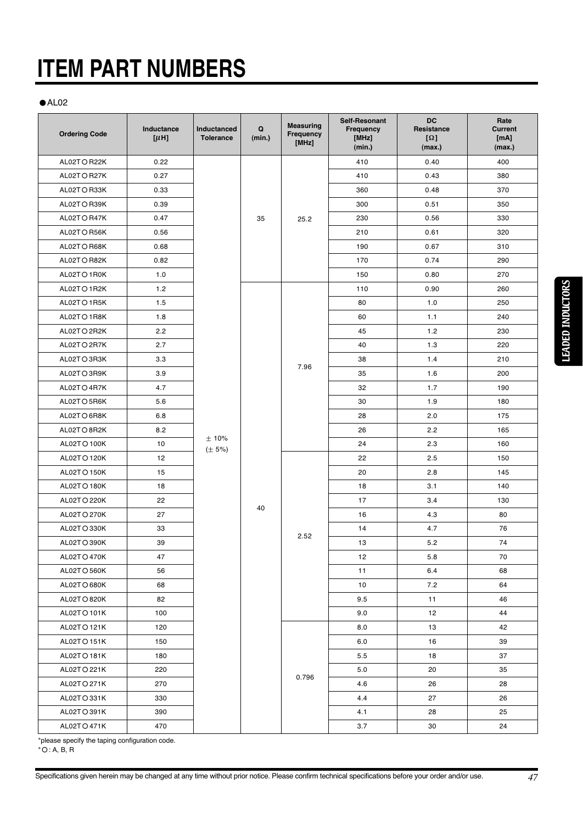### $\bullet$ AL02

| <b>Ordering Code</b> | Inductance<br>$[\mu H]$ | <b>Inductanced</b><br><b>Tolerance</b> | Q<br>(min.) | <b>Measuring</b><br>Frequency<br>[MHz] | Self-Resonant<br>Frequency<br>[MHz]<br>(min.) | <b>DC</b><br>Resistance<br>$[\Omega]$<br>(max.) | Rate<br><b>Current</b><br>[mA]<br>(max.) |
|----------------------|-------------------------|----------------------------------------|-------------|----------------------------------------|-----------------------------------------------|-------------------------------------------------|------------------------------------------|
| AL02TOR22K           | 0.22                    |                                        |             |                                        | 410                                           | 0.40                                            | 400                                      |
| AL02TOR27K           | 0.27                    |                                        |             |                                        | 410                                           | 0.43                                            | 380                                      |
| AL02TOR33K           | 0.33                    |                                        |             |                                        | 360                                           | 0.48                                            | 370                                      |
| AL02TOR39K           | 0.39                    |                                        |             |                                        | 300                                           | 0.51                                            | 350                                      |
| AL02TOR47K           | 0.47                    |                                        | 35          | 25.2                                   | 230                                           | 0.56                                            | 330                                      |
| AL02TOR56K           | 0.56                    |                                        |             |                                        | 210                                           | 0.61                                            | 320                                      |
| AL02TO R68K          | 0.68                    |                                        |             |                                        | 190                                           | 0.67                                            | 310                                      |
| AL02TOR82K           | 0.82                    |                                        |             |                                        | 170                                           | 0.74                                            | 290                                      |
| AL02TO1R0K           | 1.0                     |                                        |             |                                        | 150                                           | 0.80                                            | 270                                      |
| AL02TO1R2K           | 1.2                     |                                        |             |                                        | 110                                           | 0.90                                            | 260                                      |
| AL02TO1R5K           | 1.5                     |                                        |             |                                        | 80                                            | 1.0                                             | 250                                      |
| AL02TO1R8K           | 1.8                     |                                        |             |                                        | 60                                            | 1.1                                             | 240                                      |
| AL02TO 2R2K          | 2.2                     |                                        |             |                                        | 45                                            | 1.2                                             | 230                                      |
| AL02TO 2R7K          | 2.7                     |                                        |             | 7.96                                   | 40                                            | 1.3                                             | 220                                      |
| AL02TO3R3K           | 3.3                     |                                        |             |                                        | 38                                            | 1.4                                             | 210                                      |
| AL02TO3R9K           | 3.9                     |                                        |             |                                        | 35                                            | 1.6                                             | 200                                      |
| AL02TO 4R7K          | 4.7                     |                                        |             |                                        | 32                                            | 1.7                                             | 190                                      |
| AL02TO 5R6K          | 5.6                     |                                        |             |                                        | 30                                            | 1.9                                             | 180                                      |
| AL02TO 6R8K          | 6.8                     |                                        |             |                                        | 28                                            | 2.0                                             | 175                                      |
| AL02TO8R2K           | 8.2                     |                                        |             |                                        | 26                                            | 2.2                                             | 165                                      |
| AL02TO 100K          | 10                      | ±10%<br>$(\pm 5\%)$                    |             |                                        | 24                                            | 2.3                                             | 160                                      |
| AL02TO120K           | 12                      |                                        |             |                                        | 22                                            | 2.5                                             | 150                                      |
| AL02TO 150K          | 15                      |                                        |             |                                        | 20                                            | 2.8                                             | 145                                      |
| AL02TO180K           | 18                      |                                        |             |                                        | 18                                            | 3.1                                             | 140                                      |
| AL02TO 220K          | 22                      |                                        | 40          |                                        | 17                                            | 3.4                                             | 130                                      |
| AL02TO 270K          | 27                      |                                        |             |                                        | 16                                            | 4.3                                             | 80                                       |
| AL02TO330K           | 33                      |                                        |             | 2.52                                   | 14                                            | 4.7                                             | 76                                       |
| AL02TO390K           | 39                      |                                        |             |                                        | 13                                            | 5.2                                             | 74                                       |
| AL02T O 470K         | 47                      |                                        |             |                                        | 12                                            | 5.8                                             | 70                                       |
| AL02TO 560K          | 56                      |                                        |             |                                        | 11                                            | 6.4                                             | 68                                       |
| AL02TO680K           | 68                      |                                        |             |                                        | 10                                            | 7.2                                             | 64                                       |
| AL02TO820K           | 82                      |                                        |             |                                        | 9.5                                           | 11                                              | 46                                       |
| AL02TO101K           | 100                     |                                        |             |                                        | 9.0                                           | 12                                              | 44                                       |
| AL02TO121K           | 120                     |                                        |             |                                        | 8.0                                           | 13                                              | 42                                       |
| AL02TO151K           | 150                     |                                        |             |                                        | 6.0                                           | 16                                              | 39                                       |
| AL02TO181K           | 180                     |                                        |             |                                        | 5.5                                           | 18                                              | 37                                       |
| AL02T O 221K         | 220                     |                                        |             |                                        | 5.0                                           | 20                                              | 35                                       |
| AL02TO 271K          | 270                     |                                        |             | 0.796                                  | 4.6                                           | 26                                              | 28                                       |
| AL02TO331K           | 330                     |                                        |             |                                        | 4.4                                           | 27                                              | 26                                       |
| AL02TO391K           | 390                     |                                        |             |                                        | 4.1                                           | 28                                              | 25                                       |
| AL02T O 471K         | 470                     |                                        |             |                                        | 3.7                                           | 30                                              | 24                                       |

\*please specify the taping configuration code.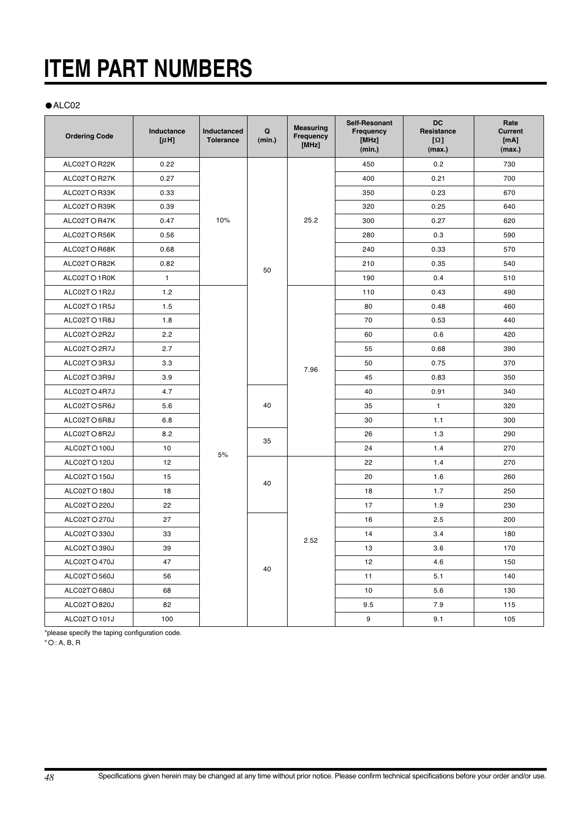#### $\bullet$ ALC02

| <b>Ordering Code</b> | Inductance<br>$[\mu H]$ | Inductanced<br><b>Tolerance</b> | $\mathbf Q$<br>(min.) | <b>Measuring</b><br>Frequency<br>[MHz] | Self-Resonant<br>Frequency<br>[MHz]<br>(min.) | <b>DC</b><br>Resistance<br>$[\Omega]$<br>(max.) | Rate<br><b>Current</b><br>[mA]<br>(max.) |
|----------------------|-------------------------|---------------------------------|-----------------------|----------------------------------------|-----------------------------------------------|-------------------------------------------------|------------------------------------------|
| ALC02TOR22K          | 0.22                    |                                 |                       |                                        | 450                                           | 0.2                                             | 730                                      |
| ALC02TOR27K          | 0.27                    |                                 |                       |                                        | 400                                           | 0.21                                            | 700                                      |
| ALC02TOR33K          | 0.33                    |                                 |                       |                                        | 350                                           | 0.23                                            | 670                                      |
| ALC02TOR39K          | 0.39                    |                                 |                       |                                        | 320                                           | 0.25                                            | 640                                      |
| ALC02TOR47K          | 0.47                    | 10%                             |                       | 25.2                                   | 300                                           | 0.27                                            | 620                                      |
| ALC02TOR56K          | 0.56                    |                                 |                       |                                        | 280                                           | 0.3                                             | 590                                      |
| ALC02TOR68K          | 0.68                    |                                 |                       |                                        | 240                                           | 0.33                                            | 570                                      |
| ALC02TOR82K          | 0.82                    |                                 | 50                    |                                        | 210                                           | 0.35                                            | 540                                      |
| ALC02TO1R0K          | $\mathbf{1}$            |                                 |                       |                                        | 190                                           | 0.4                                             | 510                                      |
| ALC02TO1R2J          | 1.2                     |                                 |                       |                                        | 110                                           | 0.43                                            | 490                                      |
| ALC02TO1R5J          | 1.5                     |                                 |                       |                                        | 80                                            | 0.48                                            | 460                                      |
| ALC02TO1R8J          | 1.8                     |                                 |                       |                                        | 70                                            | 0.53                                            | 440                                      |
| ALC02TO2R2J          | 2.2                     |                                 |                       |                                        | 60                                            | 0.6                                             | 420                                      |
| ALC02TO2R7J          | 2.7                     |                                 |                       |                                        | 55                                            | 0.68                                            | 390                                      |
| ALC02TO3R3J          | 3.3                     |                                 |                       | 7.96                                   | 50                                            | 0.75                                            | 370                                      |
| ALC02TO3R9J          | 3.9                     |                                 |                       |                                        | 45                                            | 0.83                                            | 350                                      |
| ALC02TO4R7J          | 4.7                     |                                 |                       |                                        | 40                                            | 0.91                                            | 340                                      |
| ALC02TO5R6J          | 5.6                     |                                 | 40                    |                                        | 35                                            | 1                                               | 320                                      |
| ALC02TO 6R8J         | 6.8                     |                                 |                       |                                        | 30                                            | 1.1                                             | 300                                      |
| ALC02TO8R2J          | 8.2                     |                                 | 35                    |                                        | 26                                            | 1.3                                             | 290                                      |
| ALC02TO 100J         | 10                      | 5%                              |                       |                                        | 24                                            | 1.4                                             | 270                                      |
| ALC02TO120J          | 12                      |                                 |                       |                                        | 22                                            | 1.4                                             | 270                                      |
| ALC02TO 150J         | 15                      |                                 | 40                    |                                        | 20                                            | 1.6                                             | 260                                      |
| ALC02TO 180J         | 18                      |                                 |                       |                                        | 18                                            | 1.7                                             | 250                                      |
| ALC02T O 220J        | 22                      |                                 |                       |                                        | 17                                            | 1.9                                             | 230                                      |
| ALC02TO 270J         | 27                      |                                 |                       |                                        | 16                                            | 2.5                                             | 200                                      |
| ALC02TO330J          | 33                      |                                 |                       | 2.52                                   | 14                                            | 3.4                                             | 180                                      |
| ALC02TO 390J         | 39                      |                                 |                       |                                        | 13                                            | 3.6                                             | 170                                      |
| ALC02TO 470J         | 47                      |                                 | 40                    |                                        | 12                                            | 4.6                                             | 150                                      |
| ALC02TO 560J         | 56                      |                                 |                       |                                        | 11                                            | 5.1                                             | 140                                      |
| ALC02TO 680J         | 68                      |                                 |                       |                                        | 10                                            | 5.6                                             | 130                                      |
| ALC02TO820J          | 82                      |                                 |                       |                                        | 9.5                                           | 7.9                                             | 115                                      |
| ALC02TO 101J         | 100                     |                                 |                       |                                        | 9                                             | 9.1                                             | 105                                      |

\*please specify the taping configuration code.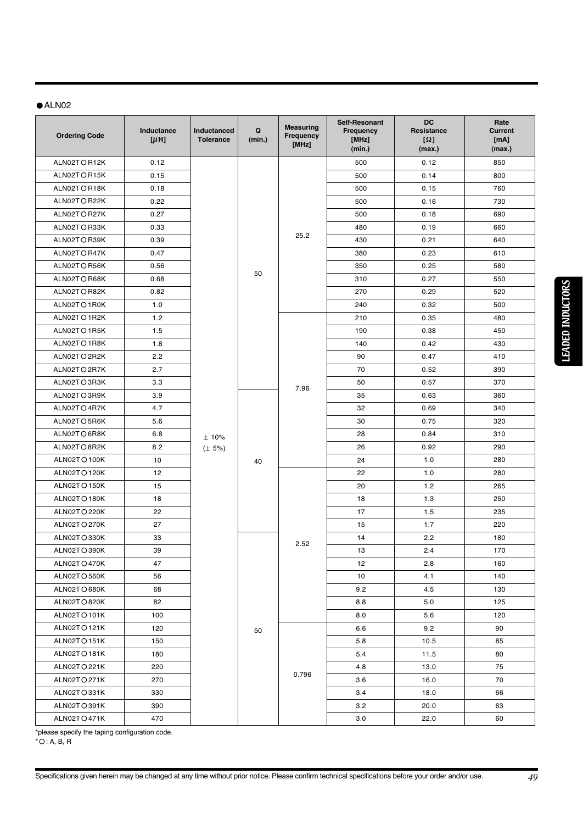#### $\bullet$ ALN02

| <b>Ordering Code</b> | Inductance<br>[µH] | Inductanced<br><b>Tolerance</b> | Q<br>(min.) | <b>Measuring</b><br>Frequency<br>[MHz] | Self-Resonant<br>Frequency<br>[MHz]<br>(min.) | <b>DC</b><br>Resistance<br>$[\Omega]$<br>(max.) | Rate<br><b>Current</b><br>[mA]<br>(max.) |
|----------------------|--------------------|---------------------------------|-------------|----------------------------------------|-----------------------------------------------|-------------------------------------------------|------------------------------------------|
| ALN02TOR12K          | 0.12               |                                 |             |                                        | 500                                           | 0.12                                            | 850                                      |
| ALN02TOR15K          | 0.15               |                                 |             |                                        | 500                                           | 0.14                                            | 800                                      |
| ALN02TOR18K          | 0.18               |                                 |             |                                        | 500                                           | 0.15                                            | 760                                      |
| ALN02TOR22K          | 0.22               |                                 |             |                                        | 500                                           | 0.16                                            | 730                                      |
| ALN02TOR27K          | 0.27               |                                 |             |                                        | 500                                           | 0.18                                            | 690                                      |
| ALN02TO R33K         | 0.33               |                                 |             |                                        | 480                                           | 0.19                                            | 660                                      |
| ALN02TOR39K          | 0.39               |                                 |             | 25.2                                   | 430                                           | 0.21                                            | 640                                      |
| ALN02TOR47K          | 0.47               |                                 |             |                                        | 380                                           | 0.23                                            | 610                                      |
| ALN02TOR56K          | 0.56               |                                 |             |                                        | 350                                           | 0.25                                            | 580                                      |
| ALN02TO R68K         | 0.68               |                                 | 50          |                                        | 310                                           | 0.27                                            | 550                                      |
| ALN02TOR82K          | 0.82               |                                 |             |                                        | 270                                           | 0.29                                            | 520                                      |
| ALN02TO1R0K          | 1.0                |                                 |             |                                        | 240                                           | 0.32                                            | 500                                      |
| ALN02TO1R2K          | 1.2                |                                 |             |                                        | 210                                           | 0.35                                            | 480                                      |
| ALN02TO1R5K          | 1.5                |                                 |             |                                        | 190                                           | 0.38                                            | 450                                      |
| ALN02TO1R8K          | 1.8                |                                 |             |                                        | 140                                           | 0.42                                            | 430                                      |
| ALN02TO 2R2K         | 2.2                | ±10%<br>$(\pm 5\%)$             |             |                                        | 90                                            | 0.47                                            | 410                                      |
| ALN02TO 2R7K         | 2.7                |                                 |             | 7.96                                   | 70                                            | 0.52                                            | 390                                      |
| ALN02TO3R3K          | 3.3                |                                 |             |                                        | 50                                            | 0.57                                            | 370                                      |
| ALN02TO3R9K          | 3.9                |                                 |             |                                        | 35                                            | 0.63                                            | 360                                      |
| ALN02TO 4R7K         | 4.7                |                                 | 40          |                                        | 32                                            | 0.69                                            | 340                                      |
| ALN02TO 5R6K         | 5.6                |                                 |             |                                        | 30                                            | 0.75                                            | 320                                      |
| ALN02TO 6R8K         | 6.8                |                                 |             |                                        | 28                                            | 0.84                                            | 310                                      |
| ALN02TO 8R2K         | 8.2                |                                 |             |                                        | 26                                            | 0.92                                            | 290                                      |
| ALN02TO 100K         | 10                 |                                 |             |                                        | 24                                            | 1.0                                             | 280                                      |
| ALN02TO120K          | 12                 |                                 |             |                                        | 22                                            | 1.0                                             | 280                                      |
| ALN02TO 150K         | 15                 |                                 |             |                                        | 20                                            | 1.2                                             | 265                                      |
| ALN02TO 180K         | 18                 |                                 |             |                                        | 18                                            | 1.3                                             | 250                                      |
| ALN02TO 220K         | 22                 |                                 |             |                                        | 17                                            | 1.5                                             | 235                                      |
| ALN02TO 270K         | 27                 |                                 |             |                                        | 15                                            | 1.7                                             | 220                                      |
| ALN02TO330K          | 33                 |                                 |             | 2.52                                   | 14                                            | 2.2                                             | 180                                      |
| ALN02TO390K          | 39                 |                                 |             |                                        | 13                                            | 2.4                                             | 170                                      |
| ALN02TO 470K         | 47                 |                                 |             |                                        | 12                                            | 2.8                                             | 160                                      |
| ALN02TO 560K         | 56                 |                                 |             |                                        | 10                                            | 4.1                                             | 140                                      |
| ALN02TO 680K         | 68                 |                                 |             |                                        | 9.2                                           | 4.5                                             | 130                                      |
| ALN02TO 820K         | 82                 |                                 |             |                                        | 8.8                                           | 5.0                                             | 125                                      |
| ALN02TO 101K         | 100                |                                 |             |                                        | 8.0                                           | 5.6                                             | 120                                      |
| ALN02TO 121K         | 120                |                                 | 50          |                                        | 6.6                                           | 9.2                                             | 90                                       |
| ALN02TO 151K         | 150                |                                 |             |                                        | 5.8                                           | 10.5                                            | 85                                       |
| ALN02TO 181K         | 180                |                                 |             |                                        | 5.4                                           | 11.5                                            | 80                                       |
| ALN02TO 221K         | 220                |                                 |             | 0.796                                  | 4.8                                           | 13.0                                            | 75                                       |
| ALN02TO 271K         | 270                |                                 |             |                                        | 3.6                                           | 16.0                                            | 70                                       |
| ALN02TO331K          | 330                |                                 |             |                                        | 3.4                                           | 18.0                                            | 66                                       |
| ALN02TO391K          | 390                |                                 |             |                                        | 3.2                                           | 20.0                                            | 63                                       |
| ALN02TO 471K         | 470                |                                 |             |                                        | 3.0                                           | 22.0                                            | 60                                       |

\*please specify the taping configuration code.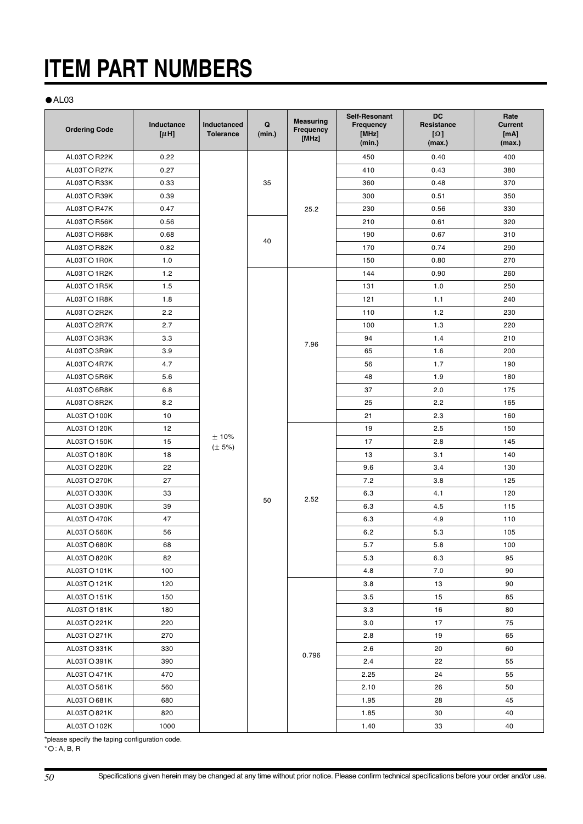#### $\bullet$ AL03

| <b>Ordering Code</b> | Inductance<br>[µH] | Inductanced<br><b>Tolerance</b> | Q<br>(min.) | <b>Measuring</b><br>Frequency<br>[MHz]                                                | Self-Resonant<br>Frequency<br>[MHz]<br>(min.) | <b>DC</b><br>Resistance<br>$\lbrack \Omega \rbrack$<br>(max.) | Rate<br><b>Current</b><br>[mA]<br>(max.) |
|----------------------|--------------------|---------------------------------|-------------|---------------------------------------------------------------------------------------|-----------------------------------------------|---------------------------------------------------------------|------------------------------------------|
| AL03TO R22K          | 0.22               |                                 |             |                                                                                       | 450                                           | 0.40                                                          | 400                                      |
| AL03TO R27K          | 0.27               |                                 |             |                                                                                       | 410                                           | 0.43                                                          | 380                                      |
| AL03T O R33K         | 0.33               |                                 | 35          |                                                                                       | 360                                           | 0.48                                                          | 370                                      |
| AL03T O R39K         | 0.39               |                                 |             |                                                                                       | 300                                           | 0.51                                                          | 350                                      |
| AL03TOR47K           | 0.47               |                                 |             | 25.2                                                                                  | 230                                           | 0.56                                                          | 330                                      |
| AL03T O R56K         | 0.56               |                                 |             |                                                                                       | 210                                           | 0.61                                                          | 320                                      |
| AL03T O R68K         | 0.68               | 40                              |             |                                                                                       | 190                                           | 0.67                                                          | 310                                      |
| AL03TOR82K           | 0.82               |                                 |             |                                                                                       | 170                                           | 0.74                                                          | 290                                      |
| AL03TO 1R0K          | 1.0                |                                 |             |                                                                                       | 150                                           | 0.80                                                          | 270                                      |
| AL03TO 1R2K          | 1.2                |                                 |             |                                                                                       | 144                                           | 0.90                                                          | 260                                      |
| AL03TO 1R5K          | 1.5                |                                 |             |                                                                                       | 131                                           | 1.0                                                           | 250                                      |
| AL03TO 1R8K          | 1.8                |                                 |             |                                                                                       | 121                                           | 1.1                                                           | 240                                      |
| AL03TO 2R2K          | 2.2                |                                 |             |                                                                                       | 110                                           | 1.2                                                           | 230                                      |
| AL03TO2R7K           | 2.7                |                                 |             |                                                                                       | 100                                           | 1.3                                                           | 220                                      |
| AL03TO3R3K           | 3.3                |                                 |             |                                                                                       | 94                                            | 1.4                                                           | 210                                      |
| AL03TO3R9K           | 3.9                |                                 |             | 7.96                                                                                  | 65                                            | 1.6                                                           | 200                                      |
| AL03TO 4R7K          | 4.7                |                                 |             |                                                                                       | 56                                            | 1.7                                                           | 190                                      |
| AL03TO 5R6K          | 5.6                |                                 |             | 48<br>1.9<br>37<br>2.0<br>25<br>2.2<br>21<br>2.3                                      |                                               | 180                                                           |                                          |
| AL03TO 6R8K          | 6.8                |                                 |             |                                                                                       |                                               |                                                               | 175                                      |
| AL03TO 8R2K          | 8.2                |                                 |             |                                                                                       |                                               |                                                               | 165                                      |
| AL03TO 100K          | 10                 |                                 |             |                                                                                       |                                               |                                                               | 160                                      |
| AL03TO120K           | 12                 |                                 |             | 19<br>17<br>13<br>9.6<br>7.2<br>6.3<br>2.52<br>6.3<br>6.3<br>6.2<br>5.7<br>5.3<br>4.8 |                                               | 2.5                                                           | 150                                      |
| AL03TO 150K          | 15                 | ±10%                            |             |                                                                                       |                                               | 2.8                                                           | 145                                      |
| AL03TO 180K          | 18                 | $(\pm 5\%)$                     |             |                                                                                       |                                               | 3.1                                                           | 140                                      |
| AL03TO 220K          | 22                 |                                 |             |                                                                                       |                                               | 3.4                                                           | 130                                      |
| AL03TO 270K          | 27                 |                                 |             |                                                                                       |                                               | 3.8                                                           | 125                                      |
| AL03TO330K           | 33                 |                                 |             |                                                                                       |                                               | 4.1                                                           | 120                                      |
| AL03TO 390K          | 39                 |                                 | 50          |                                                                                       |                                               | 4.5                                                           | 115                                      |
| AL03TO 470K          | 47                 |                                 |             |                                                                                       | 4.9                                           | 110                                                           |                                          |
| AL03TO 560K          | 56                 |                                 |             |                                                                                       |                                               | 5.3                                                           | 105                                      |
| AL03TO 680K          | 68                 |                                 |             |                                                                                       |                                               | 5.8                                                           | 100                                      |
| AL03TO820K           | 82                 |                                 |             |                                                                                       |                                               | 6.3                                                           | 95                                       |
| AL03TO 101K          | 100                |                                 |             |                                                                                       |                                               | 7.0                                                           | 90                                       |
| AL03T O 121K         | 120                |                                 |             |                                                                                       | 3.8                                           | 13                                                            | 90                                       |
| AL03TO 151K          | 150                |                                 |             |                                                                                       | 3.5                                           | 15                                                            | 85                                       |
| AL03TO181K           | 180                |                                 |             |                                                                                       | 3.3                                           | 16                                                            | 80                                       |
| AL03TO 221K          | 220                |                                 |             |                                                                                       | 3.0                                           | 17                                                            | 75                                       |
| AL03TO 271K          | 270                |                                 |             |                                                                                       | 2.8                                           | 19                                                            | 65                                       |
| AL03TO331K           | 330                |                                 |             |                                                                                       | 2.6                                           | 20                                                            | 60                                       |
| AL03TO391K           | 390                |                                 |             | 0.796                                                                                 | 2.4                                           | 22                                                            | 55                                       |
| AL03T O 471K         | 470                |                                 |             |                                                                                       | 2.25                                          | 24                                                            | 55                                       |
| AL03TO 561K          | 560                |                                 |             |                                                                                       | 2.10                                          | 26                                                            | 50                                       |
| AL03TO 681K          | 680                |                                 |             |                                                                                       | 1.95                                          | 28                                                            | 45                                       |
| AL03TO821K           | 820                |                                 |             |                                                                                       | 1.85                                          | 30                                                            | 40                                       |
| AL03TO 102K          | 1000               |                                 |             |                                                                                       | 1.40                                          | 33                                                            | 40                                       |

\*please specify the taping configuration code.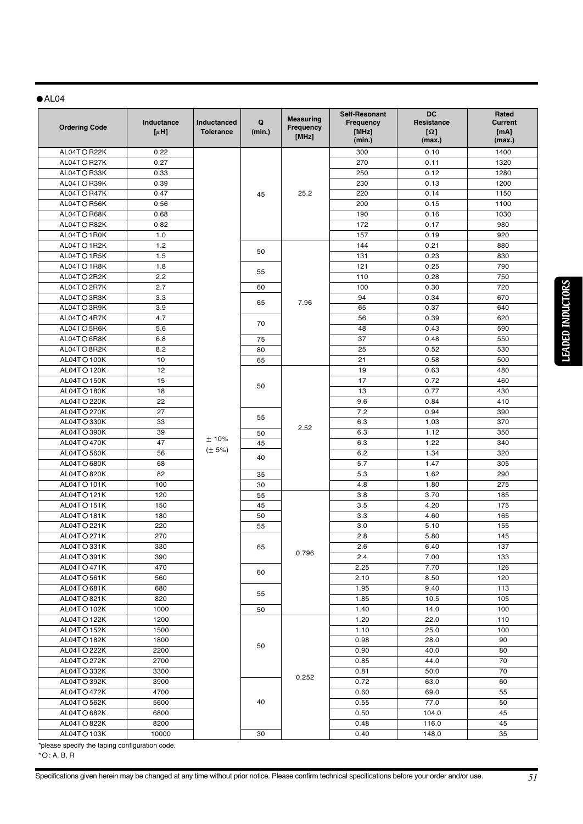#### $\bullet$ AL04

| <b>Ordering Code</b>      | Inductance<br>$[\mu H]$ | Inductanced<br><b>Tolerance</b> | Q<br>(min.) | <b>Measuring</b><br>Frequency<br>[MHz] | Self-Resonant<br>Frequency<br>[MHz]<br>(min.) | <b>DC</b><br>Resistance<br>$[\Omega]$<br>(max.) | Rated<br><b>Current</b><br>[mA]<br>(max.) |
|---------------------------|-------------------------|---------------------------------|-------------|----------------------------------------|-----------------------------------------------|-------------------------------------------------|-------------------------------------------|
| AL04TOR22K                | 0.22                    |                                 |             |                                        | 300                                           | 0.10                                            | 1400                                      |
| AL04TOR27K                | 0.27                    |                                 |             |                                        | 270                                           | 0.11                                            | 1320                                      |
| AL04TOR33K                | 0.33                    |                                 |             |                                        | 250                                           | 0.12                                            | 1280                                      |
| AL04TOR39K                | 0.39                    |                                 |             |                                        | 230                                           | 0.13                                            | 1200                                      |
| AL04TOR47K                | 0.47                    |                                 | 45          | 25.2                                   | 220                                           | 0.14                                            | 1150                                      |
| AL04TOR56K                | 0.56                    |                                 |             |                                        | 200                                           | 0.15                                            | 1100                                      |
| AL04TOR68K                | 0.68                    |                                 |             |                                        | 190                                           | 0.16                                            | 1030                                      |
| AL04TOR82K                | 0.82                    |                                 |             |                                        | 172                                           | 0.17                                            | 980                                       |
| AL04TO1R0K                | 1.0                     |                                 |             |                                        | 157                                           | 0.19                                            | 920                                       |
| AL04TO1R2K                | 1.2                     |                                 |             |                                        | 144                                           | 0.21                                            | 880                                       |
| AL04TO1R5K                | 1.5                     |                                 | 50          |                                        | 131                                           | 0.23                                            | 830                                       |
| AL04TO1R8K                | 1.8                     |                                 | 55          |                                        | 121                                           | 0.25                                            | 790                                       |
| AL04TO2R2K                | 2.2                     |                                 |             |                                        | 110                                           | 0.28                                            | 750                                       |
| AL04TO2R7K                | 2.7                     |                                 | 60          |                                        | 100                                           | 0.30                                            | 720                                       |
| AL04TO3R3K                | 3.3                     |                                 | 65          | 7.96                                   | 94                                            | 0.34                                            | 670                                       |
| AL04TO3R9K                | 3.9                     |                                 |             |                                        | 65                                            | 0.37                                            | 640                                       |
| AL04TO 4R7K               | 4.7                     |                                 | 70          |                                        | 56                                            | 0.39                                            | 620                                       |
| AL04TO5R6K                | 5.6                     |                                 |             |                                        | 48                                            | 0.43                                            | 590                                       |
| AL04TO6R8K                | 6.8                     |                                 | 75          |                                        | 37                                            | 0.48                                            | 550                                       |
| AL04TO8R2K                | 8.2                     |                                 | 80          |                                        | 25                                            | 0.52                                            | 530                                       |
| AL04TO100K                | 10                      |                                 | 65          |                                        | 21                                            | 0.58                                            | 500                                       |
| AL04TO120K                | 12                      |                                 |             |                                        | 19                                            | 0.63                                            | 480                                       |
| AL04T O 150K              | 15                      |                                 | 50          |                                        | 17                                            | 0.72                                            | 460                                       |
| AL04TO180K                | 18                      |                                 |             |                                        | 13                                            | 0.77                                            | 430                                       |
| AL04T O 220K              | 22                      | ±10%                            |             |                                        | 9.6                                           | 0.84                                            | 410                                       |
| AL04T O 270K              | 27                      |                                 | 55          | 2.52                                   | 7.2                                           | 0.94                                            | 390                                       |
| AL04TO330K                | 33                      |                                 |             |                                        | 6.3                                           | 1.03                                            | 370                                       |
| AL04TO390K                | 39                      |                                 | 50          |                                        | 6.3                                           | 1.12                                            | 350                                       |
| AL04T O 470K              | 47                      | $(\pm 5\%)$                     | 45<br>40    |                                        | 6.3                                           | 1.22                                            | 340                                       |
| AL04T O 560K              | 56                      |                                 |             |                                        | 6.2                                           | 1.34                                            | 320                                       |
| AL04TO680K                | 68                      |                                 |             |                                        | 5.7                                           | 1.47                                            | 305                                       |
| AL04TO820K                | 82                      |                                 | 35          |                                        | 5.3                                           | 1.62                                            | 290                                       |
| AL04TO101K                | 100                     |                                 | 30          |                                        | 4.8                                           | 1.80                                            | 275                                       |
| AL04TO121K                | 120                     |                                 | 55          |                                        | 3.8                                           | 3.70                                            | 185                                       |
| AL04TO151K                | 150<br>180              |                                 | 45<br>50    |                                        | 3.5                                           | 4.20                                            | 175<br>165                                |
| AL04TO181K<br>AL04TO 221K | 220                     |                                 |             |                                        | 3.3<br>3.0                                    | 4.60<br>5.10                                    | 155                                       |
| AL04TO 271K               | 270                     |                                 | 55          |                                        | 2.8                                           | 5.80                                            | 145                                       |
| AL04TO331K                | 330                     |                                 | 65          |                                        | 2.6                                           | 6.40                                            | $\overline{137}$                          |
| AL04TO391K                | 390                     |                                 |             | 0.796                                  | 2.4                                           | 7.00                                            | 133                                       |
| AL04TO 471K               | 470                     |                                 |             |                                        | 2.25                                          | 7.70                                            | 126                                       |
| AL04TO561K                | 560                     |                                 | 60          |                                        | 2.10                                          | 8.50                                            | 120                                       |
| AL04TO681K                | 680                     |                                 |             |                                        | 1.95                                          | 9.40                                            | 113                                       |
| AL04TO821K                | 820                     |                                 | 55          |                                        | 1.85                                          | 10.5                                            | 105                                       |
| AL04TO102K                | 1000                    |                                 | 50          |                                        | 1.40                                          | 14.0                                            | 100                                       |
| AL04TO122K                | 1200                    |                                 |             |                                        | 1.20                                          | 22.0                                            | 110                                       |
| AL04TO152K                | 1500                    |                                 |             |                                        | 1.10                                          | 25.0                                            | 100                                       |
| AL04TO182K                | 1800                    |                                 |             |                                        | 0.98                                          | 28.0                                            | 90                                        |
| AL04TO 222K               | 2200                    |                                 | 50          |                                        | 0.90                                          | 40.0                                            | 80                                        |
| AL04TO272K                | 2700                    |                                 |             |                                        | 0.85                                          | 44.0                                            | 70                                        |
| AL04TO332K                | 3300                    |                                 |             |                                        | 0.81                                          | 50.0                                            | 70                                        |
| AL04TO392K                | 3900                    |                                 |             | 0.252                                  | 0.72                                          | 63.0                                            | 60                                        |
| AL04TO 472K               | 4700                    |                                 |             |                                        | 0.60                                          | 69.0                                            | 55                                        |
| AL04TO562K                | 5600                    |                                 | 40          |                                        | 0.55                                          | 77.0                                            | 50                                        |
| AL04TO 682K               | 6800                    |                                 |             |                                        | 0.50                                          | 104.0                                           | 45                                        |
| AL04TO822K                | 8200                    |                                 |             |                                        | 0.48                                          | 116.0                                           | 45                                        |
| AL04TO 103K               | 10000                   |                                 | 30          |                                        | 0.40                                          | 148.0                                           | 35                                        |

\*please specify the taping configuration code.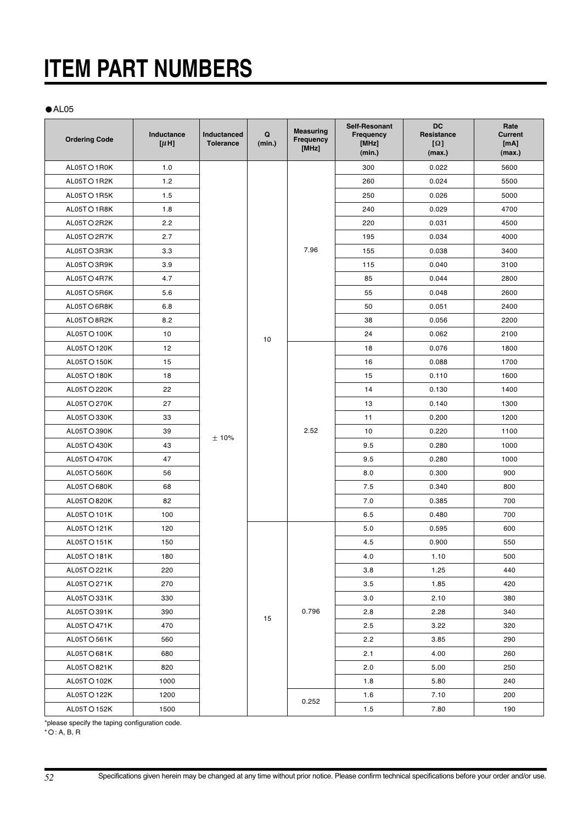#### $\bullet$ AL05

| <b>Ordering Code</b> | Inductance<br>[µH] | Inductanced<br><b>Tolerance</b> | Q<br>(min.) | <b>Measuring</b><br>Frequency<br>[MHz] | Self-Resonant<br>Frequency<br>[MHz]<br>(min.) | <b>DC</b><br><b>Resistance</b><br>$[\Omega]$<br>(max.) | Rate<br><b>Current</b><br>[mA]<br>(max.) |
|----------------------|--------------------|---------------------------------|-------------|----------------------------------------|-----------------------------------------------|--------------------------------------------------------|------------------------------------------|
| AL05TO1R0K           | 1.0                |                                 |             |                                        | 300                                           | 0.022                                                  | 5600                                     |
| AL05TO1R2K           | 1.2                | $\pm$ 10%                       |             |                                        | 260                                           | 0.024                                                  | 5500                                     |
| AL05TO1R5K           | 1.5                |                                 |             |                                        | 250                                           | 0.026                                                  | 5000                                     |
| AL05TO1R8K           | 1.8                |                                 |             |                                        | 240                                           | 0.029                                                  | 4700                                     |
| AL05TO2R2K           | 2.2                |                                 |             |                                        | 220                                           | 0.031                                                  | 4500                                     |
| AL05TO2R7K           | 2.7                |                                 |             |                                        | 195                                           | 0.034                                                  | 4000                                     |
| AL05TO3R3K           | 3.3                |                                 |             | 7.96                                   | 155                                           | 0.038                                                  | 3400                                     |
| AL05TO3R9K           | 3.9                |                                 |             |                                        | 115                                           | 0.040                                                  | 3100                                     |
| AL05T O 4R7K         | 4.7                |                                 |             |                                        | 85                                            | 0.044                                                  | 2800                                     |
| AL05T O 5R6K         | 5.6                |                                 |             |                                        | 55                                            | 0.048                                                  | 2600                                     |
| AL05T O 6R8K         | 6.8                |                                 |             |                                        | 50                                            | 0.051                                                  | 2400                                     |
| AL05T O 8R2K         | 8.2                |                                 |             |                                        | 38                                            | 0.056                                                  | 2200                                     |
| AL05T O 100K         | 10                 |                                 | 10          |                                        | 24                                            | 0.062                                                  | 2100                                     |
| AL05T O 120K         | 12                 |                                 |             |                                        | 18                                            | 0.076                                                  | 1800                                     |
| AL05T O 150K         | 15                 |                                 |             |                                        | 16                                            | 0.088                                                  | 1700                                     |
| AL05TO180K           | 18                 |                                 |             |                                        | 15<br>0.110                                   |                                                        | 1600                                     |
| AL05T O 220K         | 22                 |                                 |             | 2.52                                   | 14                                            | 0.130                                                  | 1400                                     |
| AL05T O 270K         | 27                 |                                 |             |                                        | 13                                            | 0.140                                                  | 1300                                     |
| AL05TO330K           | 33                 |                                 |             |                                        | 11                                            | 0.200                                                  | 1200                                     |
| AL05TO390K           | 39                 |                                 |             |                                        | 10                                            | 0.220                                                  | 1100                                     |
| AL05T O 430K         | 43                 |                                 |             |                                        | 9.5                                           | 0.280                                                  | 1000                                     |
| AL05T O 470K         | 47                 |                                 |             |                                        | 9.5                                           | 0.280                                                  | 1000                                     |
| AL05TO 560K          | 56                 |                                 |             |                                        | 8.0                                           | 0.300                                                  | 900                                      |
| AL05TO680K           | 68                 |                                 |             |                                        | 7.5                                           | 0.340                                                  | 800                                      |
| AL05TO820K           | 82                 |                                 |             |                                        | 7.0                                           | 0.385                                                  | 700                                      |
| AL05T O 101K         | 100                |                                 |             |                                        | 6.5                                           | 0.480                                                  | 700                                      |
| AL05T O 121K         | 120                |                                 |             |                                        | 5.0                                           | 0.595                                                  | 600                                      |
| AL05T O 151K         | 150                |                                 |             |                                        | 4.5                                           | 0.900                                                  | 550                                      |
| AL05T O 181K         | 180                |                                 |             |                                        | 4.0                                           | 1.10                                                   | 500                                      |
| AL05T O 221K         | 220                |                                 |             |                                        | 3.8                                           | 1.25                                                   | 440                                      |
| AL05T O 271K         | 270                |                                 |             |                                        | 3.5                                           | 1.85                                                   | 420                                      |
| AL05TO331K           | 330                |                                 |             |                                        | 3.0                                           | 2.10                                                   | 380                                      |
| AL05TO391K           | 390                |                                 | 15          | 0.796                                  | 2.8                                           | 2.28                                                   | 340                                      |
| AL05T O 471K         | 470                |                                 |             |                                        | 2.5                                           | 3.22                                                   | 320                                      |
| AL05TO 561K          | 560                |                                 |             |                                        | 2.2                                           | 3.85                                                   | 290                                      |
| AL05TO681K           | 680                |                                 |             |                                        | 2.1                                           | 4.00                                                   | 260                                      |
| AL05T O 821K         | 820                |                                 |             |                                        | 2.0                                           | 5.00                                                   | 250                                      |
| AL05TO 102K          | 1000               |                                 |             |                                        | 1.8                                           | 5.80                                                   | 240                                      |
| AL05T O 122K         | 1200               |                                 |             | 0.252                                  | 1.6                                           | 7.10                                                   | 200                                      |
| AL05TO152K           | 1500               |                                 |             |                                        | 1.5                                           | 7.80                                                   | 190                                      |

\*please specify the taping configuration code.

 $*$  O: A, B, R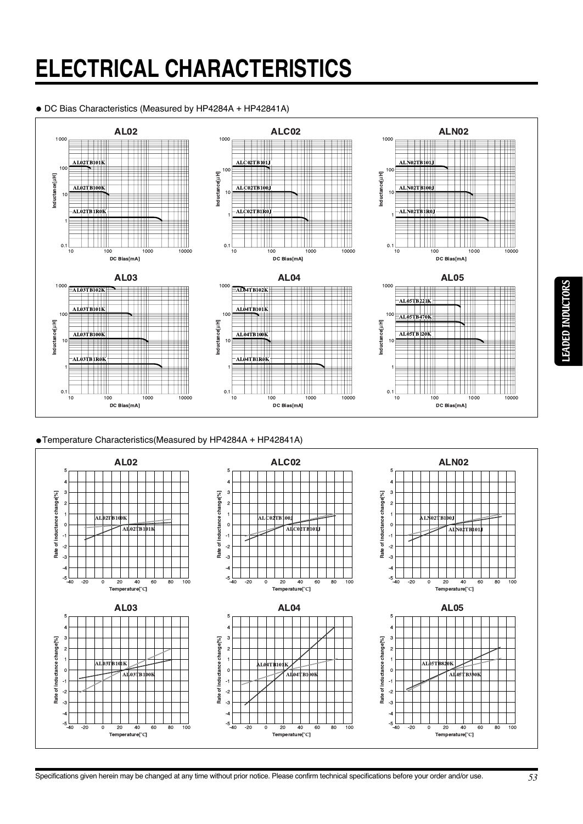# **ELECTRICAL CHARACTERISTICS**

### ● DC Bias Characteristics (Measured by HP4284A + HP42841A)



### ●Temperature Characteristics(Measured by HP4284A + HP42841A)

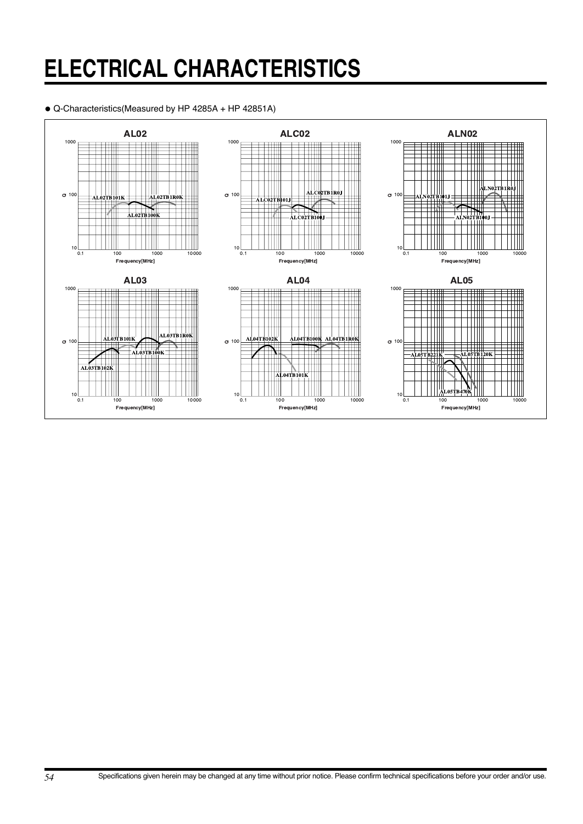# **ELECTRICAL CHARACTERISTICS**

### ● Q-Characteristics(Measured by HP 4285A + HP 42851A)

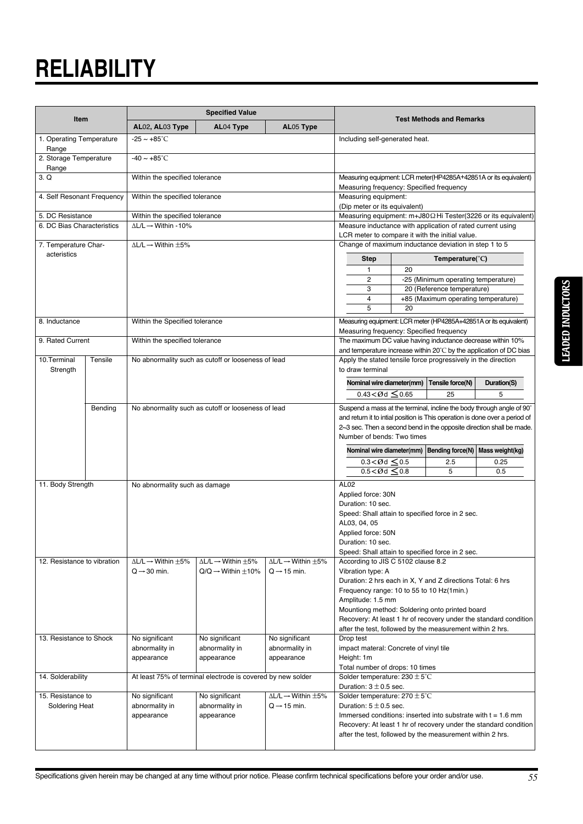# **RELIABILITY**

| Item                                |                                                                              |                                           | <b>Specified Value</b>                                      |                                            | <b>Test Methods and Remarks</b>                                                                               |                                                                                   |                                                                              |                                                                             |  |  |
|-------------------------------------|------------------------------------------------------------------------------|-------------------------------------------|-------------------------------------------------------------|--------------------------------------------|---------------------------------------------------------------------------------------------------------------|-----------------------------------------------------------------------------------|------------------------------------------------------------------------------|-----------------------------------------------------------------------------|--|--|
|                                     |                                                                              | AL02, AL03 Type                           | AL04 Type                                                   | AL05 Type                                  |                                                                                                               |                                                                                   |                                                                              |                                                                             |  |  |
| 1. Operating Temperature<br>Range   |                                                                              | $-25 \sim +85^{\circ}$ C                  |                                                             |                                            | Including self-generated heat.                                                                                |                                                                                   |                                                                              |                                                                             |  |  |
| 2. Storage Temperature              |                                                                              | $-40 \sim +85^{\circ}$ C                  |                                                             |                                            |                                                                                                               |                                                                                   |                                                                              |                                                                             |  |  |
| Range<br>3. Q                       |                                                                              | Within the specified tolerance            |                                                             |                                            | Measuring equipment: LCR meter(HP4285A+42851A or its equivalent)                                              |                                                                                   |                                                                              |                                                                             |  |  |
|                                     |                                                                              |                                           |                                                             |                                            | Measuring frequency: Specified frequency                                                                      |                                                                                   |                                                                              |                                                                             |  |  |
| 4. Self Resonant Frequency          |                                                                              | Within the specified tolerance            |                                                             |                                            | Measuring equipment:<br>(Dip meter or its equivalent)                                                         |                                                                                   |                                                                              |                                                                             |  |  |
| 5. DC Resistance                    |                                                                              | Within the specified tolerance            |                                                             |                                            |                                                                                                               |                                                                                   |                                                                              | Measuring equipment: m+J80 Ω Hi Tester(3226 or its equivalent)              |  |  |
| 6. DC Bias Characteristics          |                                                                              | $\Delta L/L \rightarrow$ Within -10%      |                                                             |                                            | Measure inductance with application of rated current using<br>LCR meter to compare it with the initial value. |                                                                                   |                                                                              |                                                                             |  |  |
| 7. Temperature Char-<br>acteristics |                                                                              | $\Delta L/L \rightarrow$ Within $\pm$ 5%  |                                                             |                                            | Change of maximum inductance deviation in step 1 to 5                                                         |                                                                                   |                                                                              |                                                                             |  |  |
|                                     |                                                                              |                                           |                                                             |                                            | <b>Step</b>                                                                                                   |                                                                                   | Temperature(°C)                                                              |                                                                             |  |  |
|                                     |                                                                              |                                           |                                                             |                                            | 1<br>2                                                                                                        | 20                                                                                | -25 (Minimum operating temperature)                                          |                                                                             |  |  |
|                                     |                                                                              |                                           |                                                             |                                            | 3                                                                                                             |                                                                                   | 20 (Reference temperature)                                                   |                                                                             |  |  |
|                                     |                                                                              |                                           |                                                             |                                            | $\overline{\mathbf{4}}$                                                                                       |                                                                                   | +85 (Maximum operating temperature)                                          |                                                                             |  |  |
|                                     |                                                                              |                                           |                                                             |                                            | 5                                                                                                             | 20                                                                                |                                                                              |                                                                             |  |  |
| 8. Inductance                       | Within the Specified tolerance                                               |                                           | Measuring frequency: Specified frequency                    |                                            |                                                                                                               | Measuring equipment: LCR meter (HP4285A+42851A or its equivalent)                 |                                                                              |                                                                             |  |  |
| 9. Rated Current                    |                                                                              | Within the specified tolerance            |                                                             |                                            | The maximum DC value having inductance decrease within 10%                                                    |                                                                                   |                                                                              |                                                                             |  |  |
|                                     |                                                                              |                                           |                                                             |                                            |                                                                                                               |                                                                                   | and temperature increase within $20^{\circ}$ C by the application of DC bias |                                                                             |  |  |
| Strength                            | 10.Terminal<br>Tensile<br>No abnormality such as cutoff or looseness of lead |                                           |                                                             |                                            |                                                                                                               | Apply the stated tensile force progressively in the direction<br>to draw terminal |                                                                              |                                                                             |  |  |
|                                     |                                                                              |                                           |                                                             |                                            |                                                                                                               | Tensile force(N)<br>Nominal wire diameter(mm)<br>Duration(S)                      |                                                                              |                                                                             |  |  |
|                                     |                                                                              |                                           |                                                             | 0.43< $\emptyset$ d $\leq$ 0.65            |                                                                                                               | 25                                                                                | 5                                                                            |                                                                             |  |  |
|                                     | Bending                                                                      |                                           |                                                             |                                            |                                                                                                               |                                                                                   |                                                                              | Suspend a mass at the terminal, incline the body through angle of 90°       |  |  |
|                                     | No abnormality such as cutoff or looseness of lead                           |                                           |                                                             |                                            |                                                                                                               |                                                                                   |                                                                              | and return it to intial position is This operation is done over a period of |  |  |
|                                     |                                                                              |                                           |                                                             |                                            | 2~3 sec. Then a second bend in the opposite direction shall be made.                                          |                                                                                   |                                                                              |                                                                             |  |  |
|                                     |                                                                              |                                           |                                                             |                                            | Number of bends: Two times                                                                                    |                                                                                   |                                                                              |                                                                             |  |  |
|                                     |                                                                              |                                           |                                                             |                                            | Nominal wire diameter(mm)                                                                                     |                                                                                   | <b>Bending force(N)</b>                                                      | Mass weight(kg)                                                             |  |  |
|                                     |                                                                              |                                           |                                                             |                                            | $0.3 < \emptyset$ d $\leq 0.5$<br>$0.5 < \emptyset$ d $\leq$ 0.8                                              |                                                                                   | 2.5<br>5                                                                     | 0.25<br>0.5                                                                 |  |  |
| 11. Body Strength                   |                                                                              | No abnormality such as damage             |                                                             |                                            | AL <sub>02</sub>                                                                                              |                                                                                   |                                                                              |                                                                             |  |  |
|                                     |                                                                              |                                           |                                                             |                                            | Applied force: 30N                                                                                            |                                                                                   |                                                                              |                                                                             |  |  |
|                                     |                                                                              |                                           |                                                             |                                            | Duration: 10 sec.                                                                                             |                                                                                   |                                                                              |                                                                             |  |  |
|                                     |                                                                              |                                           |                                                             |                                            | Speed: Shall attain to specified force in 2 sec.<br>AL03, 04, 05                                              |                                                                                   |                                                                              |                                                                             |  |  |
|                                     |                                                                              |                                           |                                                             |                                            | Applied force: 50N                                                                                            |                                                                                   |                                                                              |                                                                             |  |  |
|                                     |                                                                              |                                           |                                                             |                                            | Duration: 10 sec.                                                                                             |                                                                                   |                                                                              |                                                                             |  |  |
| 12. Resistance to vibration         |                                                                              | $\Delta L/L \rightarrow$ Within $\pm 5\%$ | $\Delta L/L \rightarrow W$ ithin $\pm 5\%$                  | $\Delta L/L \rightarrow W$ ithin $\pm 5\%$ | Speed: Shall attain to specified force in 2 sec.                                                              |                                                                                   |                                                                              |                                                                             |  |  |
|                                     |                                                                              | $Q \rightarrow 30$ min.                   | $Q/Q \rightarrow$ Within $\pm 10\%$                         | $Q \rightarrow 15$ min.                    | According to JIS C 5102 clause 8.2<br>Vibration type: A                                                       |                                                                                   |                                                                              |                                                                             |  |  |
|                                     |                                                                              |                                           |                                                             |                                            | Duration: 2 hrs each in X, Y and Z directions Total: 6 hrs                                                    |                                                                                   |                                                                              |                                                                             |  |  |
|                                     |                                                                              |                                           |                                                             |                                            | Frequency range: 10 to 55 to 10 Hz(1min.)<br>Amplitude: 1.5 mm                                                |                                                                                   |                                                                              |                                                                             |  |  |
|                                     |                                                                              |                                           |                                                             |                                            | Mountiong method: Soldering onto printed board                                                                |                                                                                   |                                                                              |                                                                             |  |  |
|                                     |                                                                              |                                           |                                                             |                                            | Recovery: At least 1 hr of recovery under the standard condition                                              |                                                                                   |                                                                              |                                                                             |  |  |
| 13. Resistance to Shock             |                                                                              | No significant                            | No significant                                              | No significant                             | after the test, followed by the measurement within 2 hrs.<br>Drop test                                        |                                                                                   |                                                                              |                                                                             |  |  |
|                                     |                                                                              | abnormality in                            | abnormality in                                              | abnormality in                             | impact materal: Concrete of vinyl tile                                                                        |                                                                                   |                                                                              |                                                                             |  |  |
|                                     |                                                                              | appearance                                | appearance                                                  | appearance                                 | Height: 1m                                                                                                    |                                                                                   |                                                                              |                                                                             |  |  |
| 14. Solderability                   |                                                                              |                                           | At least 75% of terminal electrode is covered by new solder |                                            | Total number of drops: 10 times<br>Solder temperature: $230 \pm 5^{\circ}$ C                                  |                                                                                   |                                                                              |                                                                             |  |  |
|                                     |                                                                              |                                           |                                                             |                                            | Duration: $3 \pm 0.5$ sec.                                                                                    |                                                                                   |                                                                              |                                                                             |  |  |
| 15. Resistance to                   |                                                                              | No significant                            | No significant                                              | $\Delta L/L \rightarrow W$ ithin ±5%       | Solder temperature: $270 \pm 5^{\circ}$ C                                                                     |                                                                                   |                                                                              |                                                                             |  |  |
| Soldering Heat                      |                                                                              | abnormality in<br>appearance              | abnormality in<br>appearance                                | $Q \rightarrow 15$ min.                    | Duration: $5 \pm 0.5$ sec.<br>Immersed conditions: inserted into substrate with $t = 1.6$ mm                  |                                                                                   |                                                                              |                                                                             |  |  |
|                                     |                                                                              |                                           |                                                             |                                            |                                                                                                               |                                                                                   |                                                                              | Recovery: At least 1 hr of recovery under the standard condition            |  |  |
|                                     |                                                                              |                                           |                                                             |                                            | after the test, followed by the measurement within 2 hrs.                                                     |                                                                                   |                                                                              |                                                                             |  |  |
|                                     |                                                                              |                                           |                                                             |                                            |                                                                                                               |                                                                                   |                                                                              |                                                                             |  |  |